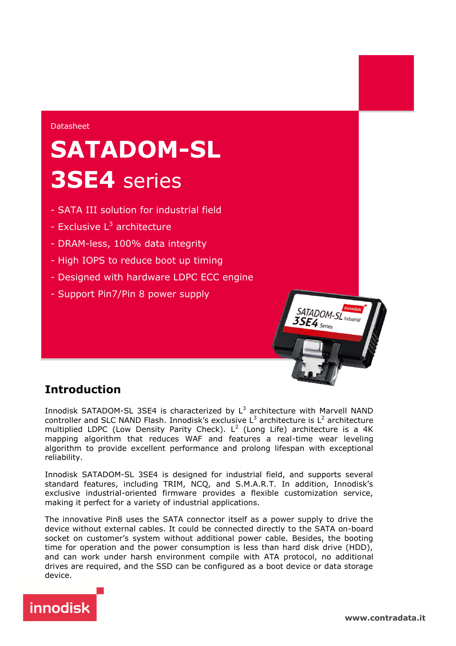#### Datasheet

## **SATADOM-SL 3SE4** series

- SATA III solution for industrial field
- Exclusive L<sup>3</sup> architecture
- DRAM-less, 100% data integrity
- High IOPS to reduce boot up timing
- Designed with hardware LDPC ECC engine
- Support Pin7/Pin 8 power supply

## **Introduction**

Innodisk SATADOM-SL 3SE4 is characterized by  $L^3$  architecture with Marvell NAND controller and SLC NAND Flash. Innodisk's exclusive  $L^3$  architecture is  $L^2$  architecture multiplied LDPC (Low Density Parity Check). L<sup>2</sup> (Long Life) architecture is a 4K mapping algorithm that reduces WAF and features a real-time wear leveling algorithm to provide excellent performance and prolong lifespan with exceptional reliability.

Innodisk SATADOM-SL 3SE4 is designed for industrial field, and supports several standard features, including TRIM, NCQ, and S.M.A.R.T. In addition, Innodisk's exclusive industrial-oriented firmware provides a flexible customization service, making it perfect for a variety of industrial applications.

The innovative Pin8 uses the SATA connector itself as a power supply to drive the device without external cables. It could be connected directly to the SATA on-board socket on customer's system without additional power cable. Besides, the booting time for operation and the power consumption is less than hard disk drive (HDD), and can work under harsh environment compile with ATA protocol, no additional drives are required, and the SSD can be configured as a boot device or data storage device.



SATADOM-SL<sub>Innodisk</sub><br>SSE4

 $3SE4$  Series